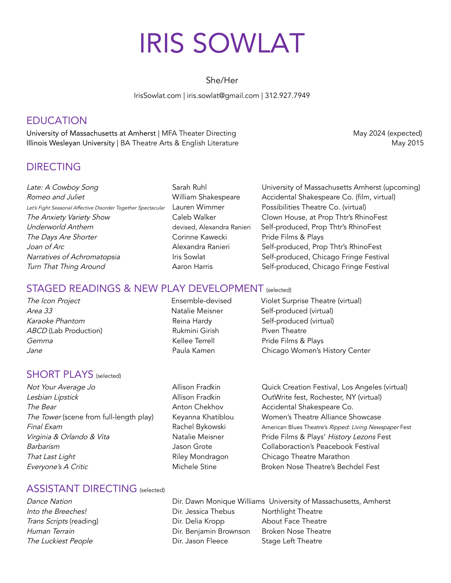# IRIS SOWLAT

She/Her

IrisSowlat.com | iris.sowlat@gmail.com | 312.927.7949

# EDUCATION

University of Massachusetts at Amherst | MFA Theater Directing May 2024 (expected) Illinois Wesleyan University | BA Theatre Arts & English Literature May 2015

# DIRECTING

Romeo and Juliet **No. 2008** William Shakespeare Accidental Shakespeare Co. (film, virtual) Let's Fight Seasonal Affective Disorder Together Spectacular Lauren Wimmer Possibilities Theatre Co. (virtual) The Anxiety Variety Show Caleb Walker Clown House, at Prop Thtr's RhinoFest Underworld Anthem devised, Alexandra Ranieri Self-produced, Prop Thtr's RhinoFest The Days Are Shorter The Corinne Kawecki Pride Films & Plays Joan of Arc **Alexandra Ranieri** Self-produced, Prop Thtr's RhinoFest Narratives of Achromatopsia **Iris Sowlat** Iris Sowlat Self-produced, Chicago Fringe Festival Turn That Thing Around **Accord Accord Aaron Harris** Self-produced, Chicago Fringe Festival

Late: A Cowboy Song Sarah Ruhl Sarah Ruhl University of Massachusetts Amherst (upcoming)

#### STAGED READINGS & NEW PLAY DEVELOPMENT (selected)

#### The Icon Project Ensemble-devised Violet Surprise Theatre (virtual) Area 33 **Area 33** Natalie Meisner Self-produced (virtual) Karaoke Phantom **Reina Hardy** Self-produced (virtual) ABCD (Lab Production) The Rukmini Girish Piven Theatre Gemma **Comma** Communication of the Mellee Terrell Communication Pride Films & Plays

#### SHORT PLAYS (selected)

Lesbian Lipstick **Allison Fradkin** CutWrite fest, Rochester, NY (virtual) The Bear **Anton Chekhov** Accidental Shakespeare Co. The Tower (scene from full-length play) Keyanna Khatiblou Women's Theatre Alliance Showcase Barbarism **Group** Jason Grote Collaboraction's Peacebook Festival That Last Light **Riley Mondragon** Chicago Theatre Marathon Everyone's A Critic **Michele Stine** Broken Nose Theatre's Bechdel Fest

Jane Paula Kamen Chicago Women's History Center

Not Your Average Jo **Allison Fradkin** Quick Creation Festival, Los Angeles (virtual) Final Exam **Rachel Bykowski** American Blues Theatre's Ripped: Living Newspaper Fest Virginia & Orlando & Vita **Natalie Meisner** Pride Films & Plays' History Lezons Fest

## ASSISTANT DIRECTING (selected)

Dance Nation **Direct Direct Direct** Direct Monique Williams University of Massachusetts, Amherst Into the Breeches! The Superson Controllers Controllers Controllers Northlight Theatre Trans Scripts (reading) Trans Scripts (reading) Dir. Delia Kropp About Face Theatre Human Terrain **Dir. Benjamin Brownson** Broken Nose Theatre The Luckiest People **Contains Containers** Dir. Jason Fleece Stage Left Theatre